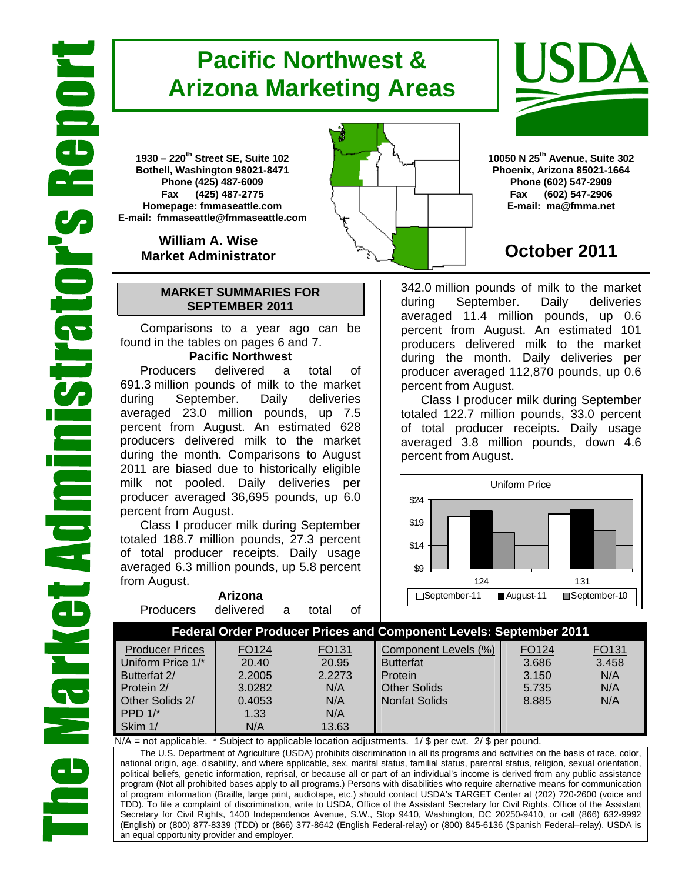# **Pacific Northwest & Arizona Marketing Areas**

**1930 – 220th Street SE, Suite 102 Bothell, Washington 98021-8471 Phone (425) 487-6009 Fax (425) 487-2775 Homepage: fmmaseattle.com E-mail: fmmaseattle@fmmaseattle.com**

> **William A. Wise Market Administrator**

### **MARKET SUMMARIES FOR SEPTEMBER 2011**

 Comparisons to a year ago can be found in the tables on pages 6 and 7.

### **Pacific Northwest**

Producers delivered a total of 691.3 million pounds of milk to the market during September. Daily deliveries averaged 23.0 million pounds, up 7.5 percent from August. An estimated 628 producers delivered milk to the market during the month. Comparisons to August 2011 are biased due to historically eligible milk not pooled. Daily deliveries per producer averaged 36,695 pounds, up 6.0 percent from August.

Class I producer milk during September totaled 188.7 million pounds, 27.3 percent of total producer receipts. Daily usage averaged 6.3 million pounds, up 5.8 percent from August.

| Arizona   |           |    |       |      |  |  |  |
|-----------|-----------|----|-------|------|--|--|--|
| Producers | delivered | a. | total | of . |  |  |  |





**10050 N 25th Avenue, Suite 302 Phoenix, Arizona 85021-1664 Phone (602) 547-2909 Fax (602) 547-2906 E-mail: ma@fmma.net**

# **October 2011**

342.0 million pounds of milk to the market during September. Daily deliveries averaged 11.4 million pounds, up 0.6 percent from August. An estimated 101 producers delivered milk to the market during the month. Daily deliveries per producer averaged 112,870 pounds, up 0.6 percent from August.

Class I producer milk during September totaled 122.7 million pounds, 33.0 percent of total producer receipts. Daily usage averaged 3.8 million pounds, down 4.6 percent from August.



### **Federal Order Producer Prices and Component Levels: September 2011**

| <b>Producer Prices</b> | FO124  | FO <sub>131</sub> | Component Levels (%) | FO <sub>124</sub> | FO131 |
|------------------------|--------|-------------------|----------------------|-------------------|-------|
| Uniform Price 1/*      | 20.40  | 20.95             | <b>Butterfat</b>     | 3.686             | 3.458 |
| Butterfat 2/           | 2.2005 | 2.2273            | Protein              | 3.150             | N/A   |
| Protein 2/             | 3.0282 | N/A               | <b>Other Solids</b>  | 5.735             | N/A   |
| Other Solids 2/        | 0.4053 | N/A               | <b>Nonfat Solids</b> | 8.885             | N/A   |
| PPD $1$ <sup>*</sup>   | 1.33   | N/A               |                      |                   |       |
| Skim 1/                | N/A    | 13.63             |                      |                   |       |

 $N/A$  = not applicable. \* Subject to applicable location adjustments.  $1/\$ \$ per cwt.  $2/\$ \$ per pound.

The U.S. Department of Agriculture (USDA) prohibits discrimination in all its programs and activities on the basis of race, color, national origin, age, disability, and where applicable, sex, marital status, familial status, parental status, religion, sexual orientation, political beliefs, genetic information, reprisal, or because all or part of an individual's income is derived from any public assistance program (Not all prohibited bases apply to all programs.) Persons with disabilities who require alternative means for communication of program information (Braille, large print, audiotape, etc.) should contact USDA's TARGET Center at (202) 720-2600 (voice and TDD). To file a complaint of discrimination, write to USDA, Office of the Assistant Secretary for Civil Rights, Office of the Assistant Secretary for Civil Rights, 1400 Independence Avenue, S.W., Stop 9410, Washington, DC 20250-9410, or call (866) 632-9992 (English) or (800) 877-8339 (TDD) or (866) 377-8642 (English Federal-relay) or (800) 845-6136 (Spanish Federal–relay). USDA is an equal opportunity provider and employer.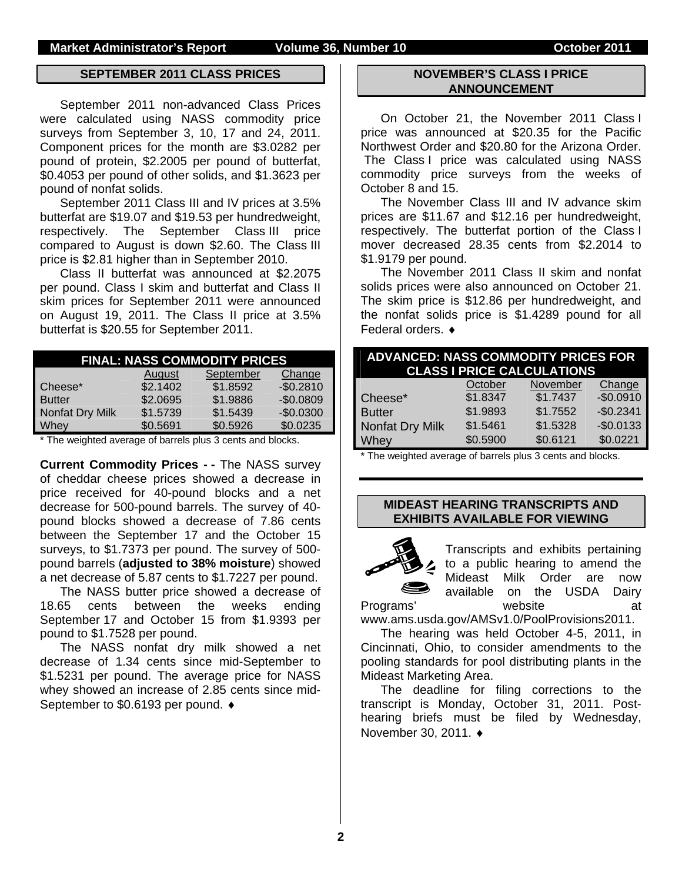#### **SEPTEMBER 2011 CLASS PRICES**

September 2011 non-advanced Class Prices were calculated using NASS commodity price surveys from September 3, 10, 17 and 24, 2011. Component prices for the month are \$3.0282 per pound of protein, \$2.2005 per pound of butterfat, \$0.4053 per pound of other solids, and \$1.3623 per pound of nonfat solids.

September 2011 Class III and IV prices at 3.5% butterfat are \$19.07 and \$19.53 per hundredweight, respectively. The September Class III price compared to August is down \$2.60. The Class III price is \$2.81 higher than in September 2010.

Class II butterfat was announced at \$2.2075 per pound. Class I skim and butterfat and Class II skim prices for September 2011 were announced on August 19, 2011. The Class II price at 3.5% butterfat is \$20.55 for September 2011.

| <b>FINAL: NASS COMMODITY PRICES</b> |          |           |            |  |  |  |  |
|-------------------------------------|----------|-----------|------------|--|--|--|--|
|                                     | August   | September | Change     |  |  |  |  |
| Cheese*                             | \$2.1402 | \$1.8592  | $-$0.2810$ |  |  |  |  |
| <b>Butter</b>                       | \$2.0695 | \$1.9886  | $-$0.0809$ |  |  |  |  |
| Nonfat Dry Milk                     | \$1.5739 | \$1.5439  | $-$0.0300$ |  |  |  |  |
| Whey                                | \$0.5691 | \$0.5926  | \$0.0235   |  |  |  |  |

\* The weighted average of barrels plus 3 cents and blocks.

**Current Commodity Prices - -** The NASS survey of cheddar cheese prices showed a decrease in price received for 40-pound blocks and a net decrease for 500-pound barrels. The survey of 40 pound blocks showed a decrease of 7.86 cents between the September 17 and the October 15 surveys, to \$1.7373 per pound. The survey of 500 pound barrels (**adjusted to 38% moisture**) showed a net decrease of 5.87 cents to \$1.7227 per pound.

The NASS butter price showed a decrease of 18.65 cents between the weeks ending September 17 and October 15 from \$1.9393 per pound to \$1.7528 per pound.

The NASS nonfat dry milk showed a net decrease of 1.34 cents since mid-September to \$1.5231 per pound. The average price for NASS whey showed an increase of 2.85 cents since mid-September to \$0.6193 per pound. ♦

#### **NOVEMBER'S CLASS I PRICE ANNOUNCEMENT**

On October 21, the November 2011 Class I price was announced at \$20.35 for the Pacific Northwest Order and \$20.80 for the Arizona Order. The Class I price was calculated using NASS commodity price surveys from the weeks of October 8 and 15.

The November Class III and IV advance skim prices are \$11.67 and \$12.16 per hundredweight, respectively. The butterfat portion of the Class I mover decreased 28.35 cents from \$2.2014 to \$1.9179 per pound.

The November 2011 Class II skim and nonfat solids prices were also announced on October 21. The skim price is \$12.86 per hundredweight, and the nonfat solids price is \$1.4289 pound for all Federal orders. ♦

| <b>ADVANCED: NASS COMMODITY PRICES FOR</b> |          | <b>CLASS I PRICE CALCULATIONS</b> |            |
|--------------------------------------------|----------|-----------------------------------|------------|
|                                            | October  | November                          | Change     |
| Cheese*                                    | \$1.8347 | \$1.7437                          | $-$0.0910$ |
| <b>Butter</b>                              | \$1.9893 | \$1.7552                          | $-$0.2341$ |
| Nonfat Dry Milk                            | \$1.5461 | \$1.5328                          | $-$0.0133$ |
| Whey                                       | \$0.5900 | \$0.6121                          | \$0.0221   |

\* The weighted average of barrels plus 3 cents and blocks.

### **MIDEAST HEARING TRANSCRIPTS AND EXHIBITS AVAILABLE FOR VIEWING**



Transcripts and exhibits pertaining to a public hearing to amend the Mideast Milk Order are now available on the USDA Dairy Programs' website at

www.ams.usda.gov/AMSv1.0/PoolProvisions2011.

 The hearing was held October 4-5, 2011, in Cincinnati, Ohio, to consider amendments to the pooling standards for pool distributing plants in the Mideast Marketing Area.

 The deadline for filing corrections to the transcript is Monday, October 31, 2011. Posthearing briefs must be filed by Wednesday, November 30, 2011. ♦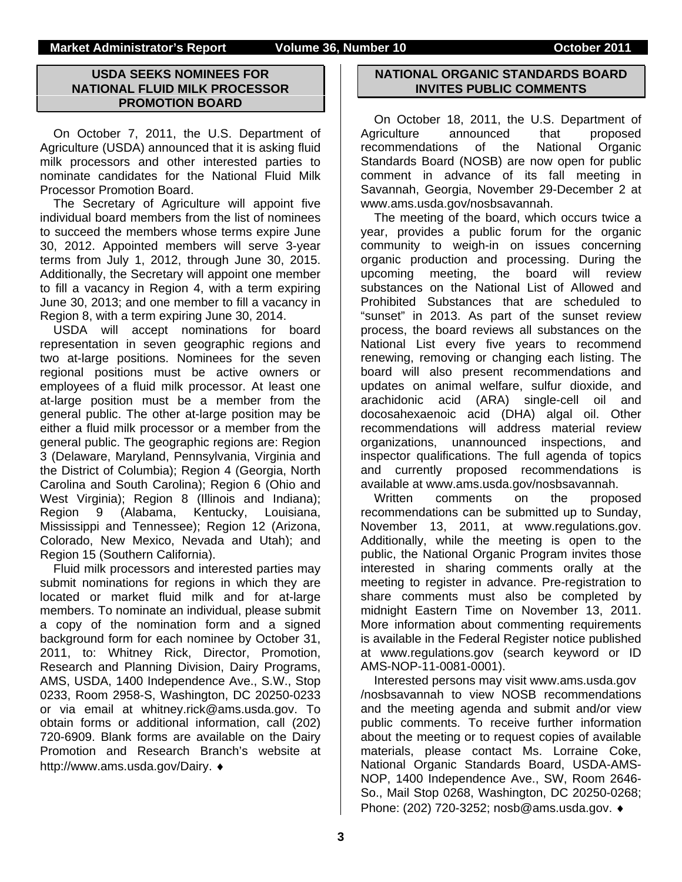### **USDA SEEKS NOMINEES FOR NATIONAL FLUID MILK PROCESSOR PROMOTION BOARD**

On October 7, 2011, the U.S. Department of Agriculture (USDA) announced that it is asking fluid milk processors and other interested parties to nominate candidates for the National Fluid Milk Processor Promotion Board.

The Secretary of Agriculture will appoint five individual board members from the list of nominees to succeed the members whose terms expire June 30, 2012. Appointed members will serve 3-year terms from July 1, 2012, through June 30, 2015. Additionally, the Secretary will appoint one member to fill a vacancy in Region 4, with a term expiring June 30, 2013; and one member to fill a vacancy in Region 8, with a term expiring June 30, 2014.

USDA will accept nominations for board representation in seven geographic regions and two at-large positions. Nominees for the seven regional positions must be active owners or employees of a fluid milk processor. At least one at-large position must be a member from the general public. The other at-large position may be either a fluid milk processor or a member from the general public. The geographic regions are: Region 3 (Delaware, Maryland, Pennsylvania, Virginia and the District of Columbia); Region 4 (Georgia, North Carolina and South Carolina); Region 6 (Ohio and West Virginia); Region 8 (Illinois and Indiana); Region 9 (Alabama, Kentucky, Louisiana, Mississippi and Tennessee); Region 12 (Arizona, Colorado, New Mexico, Nevada and Utah); and Region 15 (Southern California).

Fluid milk processors and interested parties may submit nominations for regions in which they are located or market fluid milk and for at-large members. To nominate an individual, please submit a copy of the nomination form and a signed background form for each nominee by October 31, 2011, to: Whitney Rick, Director, Promotion, Research and Planning Division, Dairy Programs, AMS, USDA, 1400 Independence Ave., S.W., Stop 0233, Room 2958-S, Washington, DC 20250-0233 or via email at whitney.rick@ams.usda.gov. To obtain forms or additional information, call (202) 720-6909. Blank forms are available on the Dairy Promotion and Research Branch's website at http://www.ams.usda.gov/Dairy. ♦

#### **NATIONAL ORGANIC STANDARDS BOARD INVITES PUBLIC COMMENTS**

On October 18, 2011, the U.S. Department of Agriculture announced that proposed recommendations of the National Organic Standards Board (NOSB) are now open for public comment in advance of its fall meeting in Savannah, Georgia, November 29-December 2 at www.ams.usda.gov/nosbsavannah.

The meeting of the board, which occurs twice a year, provides a public forum for the organic community to weigh-in on issues concerning organic production and processing. During the upcoming meeting, the board will review substances on the National List of Allowed and Prohibited Substances that are scheduled to "sunset" in 2013. As part of the sunset review process, the board reviews all substances on the National List every five years to recommend renewing, removing or changing each listing. The board will also present recommendations and updates on animal welfare, sulfur dioxide, and arachidonic acid (ARA) single-cell oil and docosahexaenoic acid (DHA) algal oil. Other recommendations will address material review organizations, unannounced inspections, and inspector qualifications. The full agenda of topics and currently proposed recommendations is available at www.ams.usda.gov/nosbsavannah.

Written comments on the proposed recommendations can be submitted up to Sunday, November 13, 2011, at www.regulations.gov. Additionally, while the meeting is open to the public, the National Organic Program invites those interested in sharing comments orally at the meeting to register in advance. Pre-registration to share comments must also be completed by midnight Eastern Time on November 13, 2011. More information about commenting requirements is available in the Federal Register notice published at www.regulations.gov (search keyword or ID AMS-NOP-11-0081-0001).

Interested persons may visit www.ams.usda.gov /nosbsavannah to view NOSB recommendations and the meeting agenda and submit and/or view public comments. To receive further information about the meeting or to request copies of available materials, please contact Ms. Lorraine Coke, National Organic Standards Board, USDA-AMS-NOP, 1400 Independence Ave., SW, Room 2646- So., Mail Stop 0268, Washington, DC 20250-0268; Phone: (202) 720-3252; nosb@ams.usda.gov. ♦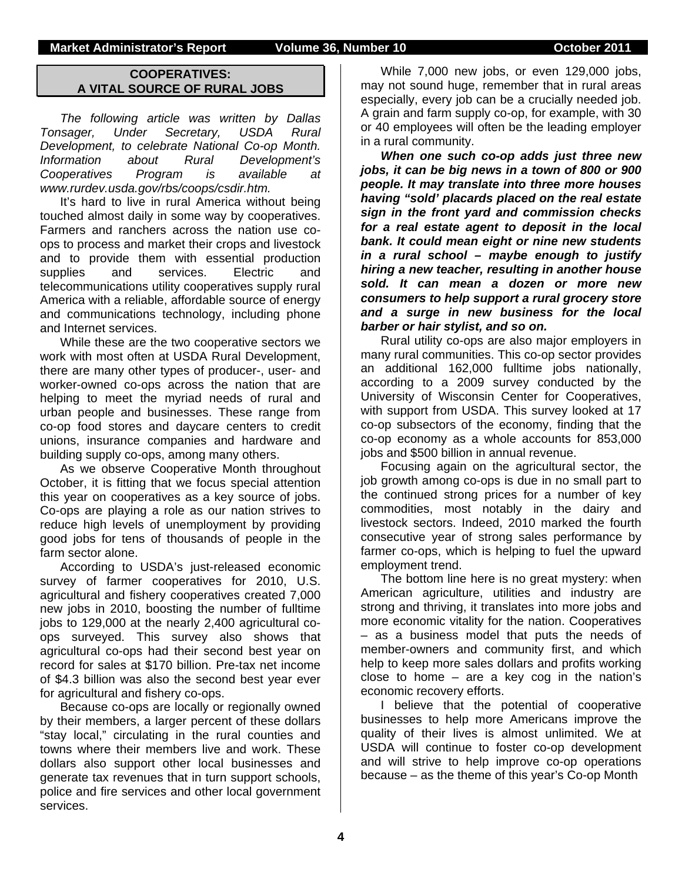#### **Market Administrator's Report Colume 36, Number 10 Colume 36, Number 2011**

### **COOPERATIVES: A VITAL SOURCE OF RURAL JOBS**

*The following article was written by Dallas Tonsager, Under Secretary, USDA Rural Development, to celebrate National Co-op Month. Information about Rural Development's Cooperatives Program is available at www.rurdev.usda.gov/rbs/coops/csdir.htm.* 

It's hard to live in rural America without being touched almost daily in some way by cooperatives. Farmers and ranchers across the nation use coops to process and market their crops and livestock and to provide them with essential production supplies and services. Electric and telecommunications utility cooperatives supply rural America with a reliable, affordable source of energy and communications technology, including phone and Internet services.

While these are the two cooperative sectors we work with most often at USDA Rural Development, there are many other types of producer-, user- and worker-owned co-ops across the nation that are helping to meet the myriad needs of rural and urban people and businesses. These range from co-op food stores and daycare centers to credit unions, insurance companies and hardware and building supply co-ops, among many others.

As we observe Cooperative Month throughout October, it is fitting that we focus special attention this year on cooperatives as a key source of jobs. Co-ops are playing a role as our nation strives to reduce high levels of unemployment by providing good jobs for tens of thousands of people in the farm sector alone.

According to USDA's just-released economic survey of farmer cooperatives for 2010, U.S. agricultural and fishery cooperatives created 7,000 new jobs in 2010, boosting the number of fulltime jobs to 129,000 at the nearly 2,400 agricultural coops surveyed. This survey also shows that agricultural co-ops had their second best year on record for sales at \$170 billion. Pre-tax net income of \$4.3 billion was also the second best year ever for agricultural and fishery co-ops.

Because co-ops are locally or regionally owned by their members, a larger percent of these dollars "stay local," circulating in the rural counties and towns where their members live and work. These dollars also support other local businesses and generate tax revenues that in turn support schools, police and fire services and other local government services.

While 7,000 new jobs, or even 129,000 jobs, may not sound huge, remember that in rural areas especially, every job can be a crucially needed job. A grain and farm supply co-op, for example, with 30 or 40 employees will often be the leading employer in a rural community.

*When one such co-op adds just three new jobs, it can be big news in a town of 800 or 900 people. It may translate into three more houses having "sold' placards placed on the real estate sign in the front yard and commission checks for a real estate agent to deposit in the local bank. It could mean eight or nine new students in a rural school – maybe enough to justify hiring a new teacher, resulting in another house sold. It can mean a dozen or more new consumers to help support a rural grocery store and a surge in new business for the local barber or hair stylist, and so on.* 

Rural utility co-ops are also major employers in many rural communities. This co-op sector provides an additional 162,000 fulltime jobs nationally, according to a 2009 survey conducted by the University of Wisconsin Center for Cooperatives, with support from USDA. This survey looked at 17 co-op subsectors of the economy, finding that the co-op economy as a whole accounts for 853,000 jobs and \$500 billion in annual revenue.

Focusing again on the agricultural sector, the job growth among co-ops is due in no small part to the continued strong prices for a number of key commodities, most notably in the dairy and livestock sectors. Indeed, 2010 marked the fourth consecutive year of strong sales performance by farmer co-ops, which is helping to fuel the upward employment trend.

The bottom line here is no great mystery: when American agriculture, utilities and industry are strong and thriving, it translates into more jobs and more economic vitality for the nation. Cooperatives – as a business model that puts the needs of member-owners and community first, and which help to keep more sales dollars and profits working close to home – are a key cog in the nation's economic recovery efforts.

I believe that the potential of cooperative businesses to help more Americans improve the quality of their lives is almost unlimited. We at USDA will continue to foster co-op development and will strive to help improve co-op operations because – as the theme of this year's Co-op Month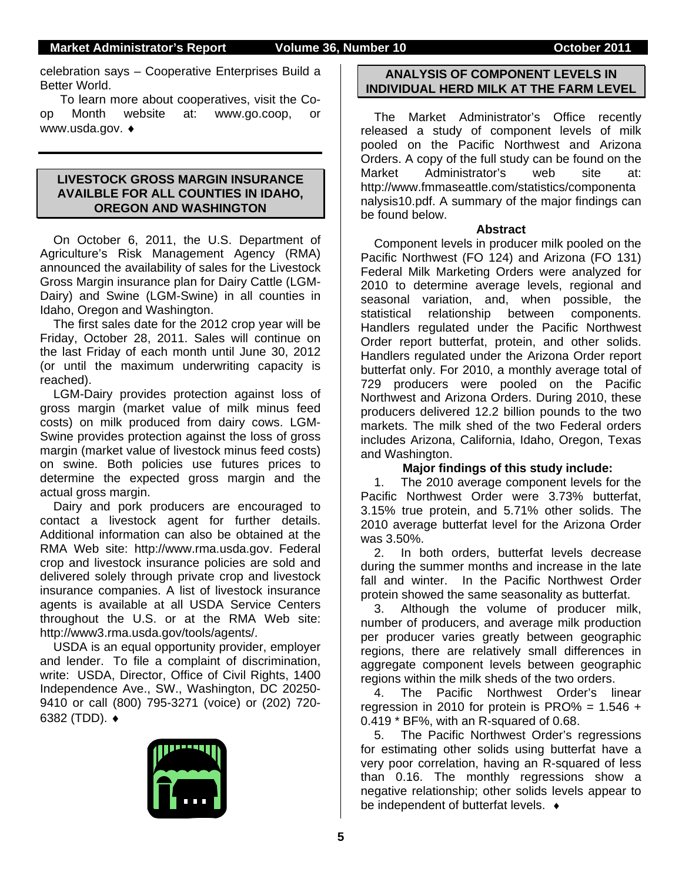celebration says – Cooperative Enterprises Build a Better World.

To learn more about cooperatives, visit the Coop Month website at: www.go.coop, or www.usda.gov. ♦

#### **LIVESTOCK GROSS MARGIN INSURANCE AVAILBLE FOR ALL COUNTIES IN IDAHO, OREGON AND WASHINGTON**

On October 6, 2011, the U.S. Department of Agriculture's Risk Management Agency (RMA) announced the availability of sales for the Livestock Gross Margin insurance plan for Dairy Cattle (LGM-Dairy) and Swine (LGM-Swine) in all counties in Idaho, Oregon and Washington.

The first sales date for the 2012 crop year will be Friday, October 28, 2011. Sales will continue on the last Friday of each month until June 30, 2012 (or until the maximum underwriting capacity is reached).

LGM-Dairy provides protection against loss of gross margin (market value of milk minus feed costs) on milk produced from dairy cows. LGM-Swine provides protection against the loss of gross margin (market value of livestock minus feed costs) on swine. Both policies use futures prices to determine the expected gross margin and the actual gross margin.

Dairy and pork producers are encouraged to contact a livestock agent for further details. Additional information can also be obtained at the RMA Web site: http://www.rma.usda.gov. Federal crop and livestock insurance policies are sold and delivered solely through private crop and livestock insurance companies. A list of livestock insurance agents is available at all USDA Service Centers throughout the U.S. or at the RMA Web site: http://www3.rma.usda.gov/tools/agents/.

USDA is an equal opportunity provider, employer and lender. To file a complaint of discrimination, write: USDA, Director, Office of Civil Rights, 1400 Independence Ave., SW., Washington, DC 20250- 9410 or call (800) 795-3271 (voice) or (202) 720- 6382 (TDD). ♦



#### **ANALYSIS OF COMPONENT LEVELS IN INDIVIDUAL HERD MILK AT THE FARM LEVEL**

The Market Administrator's Office recently released a study of component levels of milk pooled on the Pacific Northwest and Arizona Orders. A copy of the full study can be found on the Market Administrator's web site at: http://www.fmmaseattle.com/statistics/componenta nalysis10.pdf. A summary of the major findings can be found below.

#### **Abstract**

Component levels in producer milk pooled on the Pacific Northwest (FO 124) and Arizona (FO 131) Federal Milk Marketing Orders were analyzed for 2010 to determine average levels, regional and seasonal variation, and, when possible, the statistical relationship between components. Handlers regulated under the Pacific Northwest Order report butterfat, protein, and other solids. Handlers regulated under the Arizona Order report butterfat only. For 2010, a monthly average total of 729 producers were pooled on the Pacific Northwest and Arizona Orders. During 2010, these producers delivered 12.2 billion pounds to the two markets. The milk shed of the two Federal orders includes Arizona, California, Idaho, Oregon, Texas and Washington.

### **Major findings of this study include:**

1. The 2010 average component levels for the Pacific Northwest Order were 3.73% butterfat, 3.15% true protein, and 5.71% other solids. The 2010 average butterfat level for the Arizona Order was 3.50%.

2. In both orders, butterfat levels decrease during the summer months and increase in the late fall and winter. In the Pacific Northwest Order protein showed the same seasonality as butterfat.

3. Although the volume of producer milk, number of producers, and average milk production per producer varies greatly between geographic regions, there are relatively small differences in aggregate component levels between geographic regions within the milk sheds of the two orders.

4. The Pacific Northwest Order's linear regression in 2010 for protein is PRO% =  $1.546 +$ 0.419 \* BF%, with an R-squared of 0.68.

5. The Pacific Northwest Order's regressions for estimating other solids using butterfat have a very poor correlation, having an R-squared of less than 0.16. The monthly regressions show a negative relationship; other solids levels appear to be independent of butterfat levels. ♦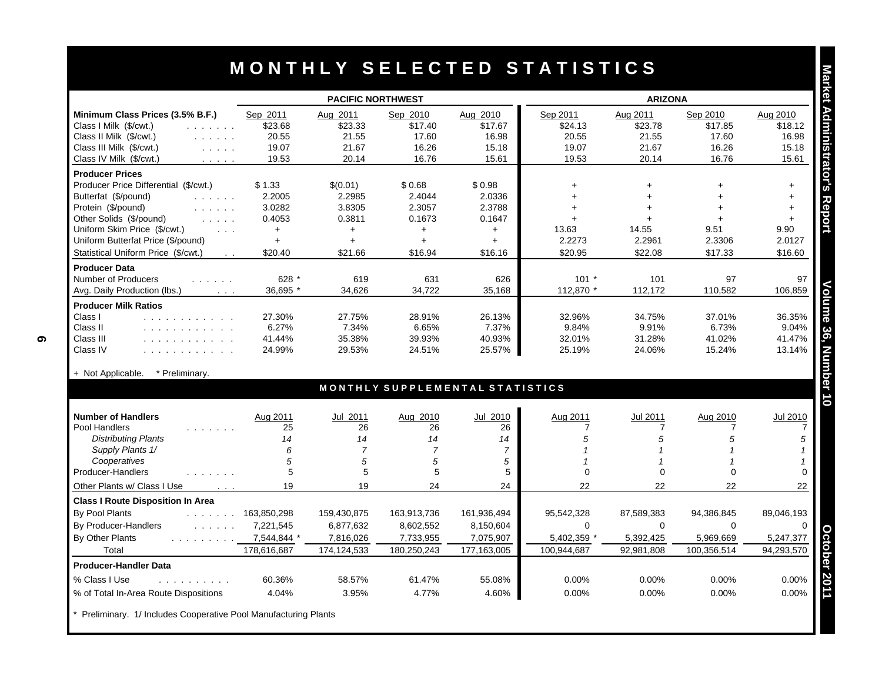|                                                                                                                                                                                                                  | <b>PACIFIC NORTHWEST</b> |                |                                 |                | <b>ARIZONA</b> |                |                      |                                       |
|------------------------------------------------------------------------------------------------------------------------------------------------------------------------------------------------------------------|--------------------------|----------------|---------------------------------|----------------|----------------|----------------|----------------------|---------------------------------------|
| Minimum Class Prices (3.5% B.F.)                                                                                                                                                                                 | Sep 2011                 | Aug 2011       | Sep 2010                        | Aug 2010       | Sep 2011       | Aug 2011       | Sep 2010             | Aug 2010                              |
| Class I Milk (\$/cwt.)<br>and a strain and                                                                                                                                                                       | \$23.68                  | \$23.33        | \$17.40                         | \$17.67        | \$24.13        | \$23.78        | \$17.85              | \$18.12                               |
| Class II Milk (\$/cwt.)<br>and the state of                                                                                                                                                                      | 20.55                    | 21.55          | 17.60                           | 16.98          | 20.55          | 21.55          | 17.60                | 16.98                                 |
| Class III Milk (\$/cwt.)<br>$\mathcal{L}^{\mathcal{A}}$ and $\mathcal{L}^{\mathcal{A}}$ and $\mathcal{L}^{\mathcal{A}}$                                                                                          | 19.07                    | 21.67          | 16.26                           | 15.18          | 19.07          | 21.67          | 16.26                | 15.18                                 |
| Class IV Milk (\$/cwt.)<br>and a state                                                                                                                                                                           | 19.53                    | 20.14          | 16.76                           | 15.61          | 19.53          | 20.14          | 16.76                | 15.61                                 |
| <b>Producer Prices</b>                                                                                                                                                                                           |                          |                |                                 |                |                |                |                      |                                       |
| Producer Price Differential (\$/cwt.)                                                                                                                                                                            | \$1.33                   | \$(0.01)       | \$0.68                          | \$0.98         | $+$            | $+$            | $\ddot{\phantom{1}}$ | $+$                                   |
| Butterfat (\$/pound)                                                                                                                                                                                             | 2.2005                   | 2.2985         | 2.4044                          | 2.0336         | $\ddot{}$      |                |                      | $+$                                   |
| Protein (\$/pound)<br>and a state of                                                                                                                                                                             | 3.0282                   | 3.8305         | 2.3057                          | 2.3788         | ÷.             | $\ddot{}$      |                      | $+$                                   |
| Other Solids (\$/pound)<br>and a state                                                                                                                                                                           | 0.4053                   | 0.3811         | 0.1673                          | 0.1647         | $+$            |                |                      | $\ddot{}$                             |
| Uniform Skim Price (\$/cwt.)<br>$\sim$ $\sim$ $\sim$                                                                                                                                                             | $+$                      | $+$            | $+$                             | $+$            | 13.63          | 14.55          | 9.51                 | 9.90                                  |
| Uniform Butterfat Price (\$/pound)                                                                                                                                                                               | $+$                      | $\ddotmark$    | $+$                             | $+$            | 2.2273         | 2.2961         | 2.3306               | 2.0127                                |
| Statistical Uniform Price (\$/cwt.)                                                                                                                                                                              | \$20.40                  | \$21.66        | \$16.94                         | \$16.16        | \$20.95        | \$22.08        | \$17.33              | \$16.60                               |
| <b>Producer Data</b>                                                                                                                                                                                             |                          |                |                                 |                |                |                |                      |                                       |
| Number of Producers<br>$\mathcal{L}$ , and $\mathcal{L}$ , and $\mathcal{L}$                                                                                                                                     | 628 *                    | 619            | 631                             | 626            | $101 *$        | 101            | 97                   | 97                                    |
| Avg. Daily Production (lbs.)<br>$\cdot$ $\cdot$ $\cdot$                                                                                                                                                          | 36.695 *                 | 34,626         | 34.722                          | 35,168         | 112.870 *      | 112,172        | 110.582              | 106,859                               |
| <b>Producer Milk Ratios</b>                                                                                                                                                                                      |                          |                |                                 |                |                |                |                      |                                       |
| Class I<br>.                                                                                                                                                                                                     | 27.30%                   | 27.75%         | 28.91%                          | 26.13%         | 32.96%         | 34.75%         | 37.01%               | 36.35%                                |
| Class II<br>.                                                                                                                                                                                                    | 6.27%                    | 7.34%          | 6.65%                           | 7.37%          | 9.84%          | 9.91%          | 6.73%                | 9.04%                                 |
| Class III<br>.                                                                                                                                                                                                   | 41.44%                   | 35.38%         | 39.93%                          | 40.93%         | 32.01%         | 31.28%         | 41.02%               | 41.47%                                |
| Class IV<br>.                                                                                                                                                                                                    | 24.99%                   | 29.53%         | 24.51%                          | 25.57%         | 25.19%         | 24.06%         | 15.24%               | 13.14%                                |
| * Preliminary.                                                                                                                                                                                                   |                          |                |                                 |                |                |                |                      |                                       |
| + Not Applicable.                                                                                                                                                                                                |                          |                | MONTHLY SUPPLEMENTAL STATISTICS |                |                |                |                      |                                       |
|                                                                                                                                                                                                                  |                          |                |                                 |                |                |                |                      |                                       |
|                                                                                                                                                                                                                  |                          | Jul 2011       | Aug 2010                        | Jul 2010       | Aug 2011       | Jul 2011       | Aug 2010             | Jul 2010                              |
|                                                                                                                                                                                                                  | Aug 2011                 |                | 26                              | 26             | $\overline{7}$ | 7              | 7                    |                                       |
| .                                                                                                                                                                                                                | 25                       | 26             |                                 |                |                |                |                      |                                       |
| <b>Distributing Plants</b>                                                                                                                                                                                       | 14                       | 14             | 14                              | 14             | 5              | 5              | 5                    |                                       |
| Supply Plants 1/                                                                                                                                                                                                 | 6                        | $\overline{7}$ | $\overline{7}$                  | $\overline{7}$ |                |                |                      |                                       |
| Cooperatives                                                                                                                                                                                                     | 5                        | 5              | 5                               | 5              |                | $\overline{1}$ |                      |                                       |
| .                                                                                                                                                                                                                | 5                        | 5              | 5                               | 5              | $\Omega$       | $\Omega$       | $\Omega$             |                                       |
| $\sim$ $\sim$ $\sim$                                                                                                                                                                                             | 19                       | 19             | 24                              | 24             | 22             | 22             | 22                   |                                       |
|                                                                                                                                                                                                                  |                          |                |                                 |                |                |                |                      |                                       |
| and a straight and                                                                                                                                                                                               | 163,850,298              | 159,430,875    | 163,913,736                     | 161,936,494    | 95,542,328     | 87,589,383     | 94,386,845           |                                       |
|                                                                                                                                                                                                                  | 7.221.545                | 6,877,632      | 8,602,552                       | 8,150,604      | $\Omega$       | $\Omega$       | $\Omega$             |                                       |
| and a straight and straight                                                                                                                                                                                      | 7,544,844 *              | 7,816,026      | 7,733,955                       | 7,075,907      | 5,402,359 *    | 5,392,425      | 5,969,669            |                                       |
| <b>Number of Handlers</b><br>Pool Handlers<br>Producer-Handlers<br>Other Plants w/ Class I Use<br><b>Class I Route Disposition In Area</b><br>By Pool Plants<br>By Producer-Handlers<br>By Other Plants<br>Total | 178,616,687              | 174,124,533    | 180,250,243                     | 177,163,005    | 100,944,687    | 92,981,808     | 100,356,514          | 89,046,193<br>5,247,377<br>94,293,570 |
|                                                                                                                                                                                                                  |                          |                |                                 |                |                |                |                      |                                       |
| <b>Producer-Handler Data</b><br>% Class I Use<br>.                                                                                                                                                               | 60.36%                   | 58.57%         | 61.47%                          | 55.08%         | 0.00%          | 0.00%          | 0.00%                | 0.00%                                 |

Preliminary. 1/ Includes Cooperative Pool Manufacturing Plants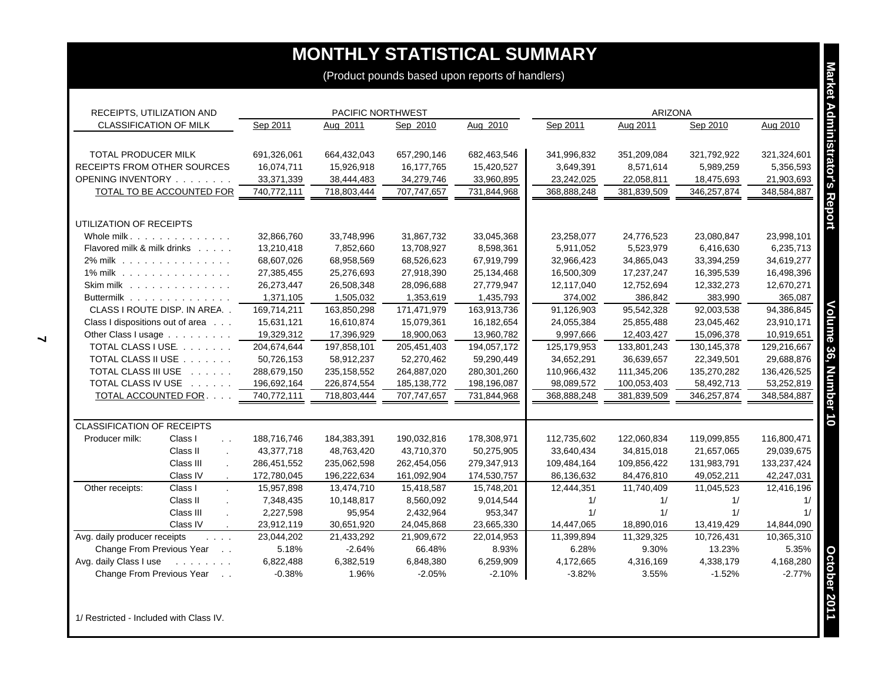| RECEIPTS, UTILIZATION AND                                                                                               |                           | PACIFIC NORTHWEST         |                           |                           |                           | <b>ARIZONA</b>            |                           |                           |
|-------------------------------------------------------------------------------------------------------------------------|---------------------------|---------------------------|---------------------------|---------------------------|---------------------------|---------------------------|---------------------------|---------------------------|
| <b>CLASSIFICATION OF MILK</b>                                                                                           | Sep 2011                  | Aug 2011                  | Sep 2010                  | Aug 2010                  | Sep 2011                  | Aug 2011                  | Sep 2010                  | Aug 2010                  |
| TOTAL PRODUCER MILK                                                                                                     | 691,326,061               | 664,432,043               | 657,290,146               | 682,463,546               | 341,996,832               | 351,209,084               | 321,792,922               | 321,324,601               |
| RECEIPTS FROM OTHER SOURCES                                                                                             | 16,074,711                | 15,926,918                | 16,177,765                | 15,420,527                | 3,649,391                 | 8,571,614                 | 5,989,259                 | 5,356,593                 |
| OPENING INVENTORY                                                                                                       | 33,371,339                | 38,444,483                | 34,279,746                | 33,960,895                | 23,242,025                | 22,058,811                | 18,475,693                | 21,903,693                |
| <b>TOTAL TO BE ACCOUNTED FOR</b>                                                                                        | 740,772,111               | 718,803,444               | 707,747,657               | 731,844,968               | 368,888,248               | 381,839,509               | 346,257,874               | 348,584,887               |
| UTILIZATION OF RECEIPTS                                                                                                 |                           |                           |                           |                           |                           |                           |                           |                           |
| Whole milk.                                                                                                             | 32,866,760                | 33,748,996                | 31,867,732                | 33,045,368                | 23,258,077                | 24,776,523                | 23,080,847                | 23,998,101                |
| Flavored milk & milk drinks                                                                                             | 13,210,418                | 7,852,660                 | 13,708,927                | 8,598,361                 | 5,911,052                 | 5,523,979                 | 6,416,630                 | 6,235,713                 |
| 2% milk                                                                                                                 | 68,607,026                | 68,958,569                | 68,526,623                | 67,919,799                | 32,966,423                | 34,865,043                | 33,394,259                | 34,619,277                |
| 1% milk                                                                                                                 | 27,385,455                | 25,276,693                | 27,918,390                | 25,134,468                | 16,500,309                | 17,237,247                | 16,395,539                | 16,498,396                |
| Skim milk                                                                                                               | 26,273,447                | 26,508,348                | 28,096,688                | 27,779,947                | 12,117,040                | 12,752,694                | 12,332,273                | 12,670,271                |
| Buttermilk                                                                                                              | 1,371,105                 | 1,505,032                 | 1,353,619                 | 1,435,793                 | 374,002                   | 386,842                   | 383,990                   | 365,087                   |
| CLASS I ROUTE DISP. IN AREA                                                                                             | 169,714,211               | 163,850,298               | 171,471,979               | 163,913,736               | 91,126,903                | 95,542,328                | 92,003,538                | 94,386,845                |
| Class I dispositions out of area                                                                                        | 15,631,121                | 16,610,874                | 15,079,361                | 16,182,654                | 24,055,384                | 25,855,488                | 23,045,462                | 23,910,171                |
| Other Class I usage                                                                                                     | 19,329,312                | 17,396,929                | 18,900,063                | 13,960,782                | 9,997,666                 | 12,403,427                | 15,096,378                | 10,919,651                |
| TOTAL CLASS I USE.                                                                                                      | 204,674,644               | 197,858,101               | 205,451,403               | 194,057,172               | 125,179,953               | 133,801,243               | 130, 145, 378             | 129,216,667               |
| TOTAL CLASS II USE                                                                                                      | 50,726,153                | 58,912,237                | 52,270,462                | 59,290,449                | 34,652,291                | 36,639,657                | 22,349,501                | 29,688,876                |
| TOTAL CLASS III USE                                                                                                     | 288,679,150               | 235, 158, 552             | 264,887,020               | 280,301,260               | 110,966,432               | 111,345,206               | 135,270,282               | 136,426,525               |
| TOTAL CLASS IV USE                                                                                                      | 196,692,164               | 226,874,554               | 185, 138, 772             | 198,196,087               | 98,089,572                | 100,053,403               | 58,492,713                | 53,252,819<br>348,584,887 |
| TOTAL ACCOUNTED FOR.                                                                                                    | 740,772,111               | 718,803,444               | 707,747,657               | 731,844,968               | 368,888,248               | 381,839,509               | 346,257,874               |                           |
| <b>CLASSIFICATION OF RECEIPTS</b>                                                                                       |                           |                           |                           |                           |                           |                           |                           |                           |
| Class I<br>Producer milk:<br>$\ddotsc$<br>Class II                                                                      | 188,716,746               | 184,383,391               | 190,032,816               | 178,308,971               | 112,735,602               | 122,060,834               | 119,099,855               | 116,800,471               |
| $\overline{a}$<br>Class III                                                                                             | 43,377,718<br>286,451,552 | 48,763,420<br>235,062,598 | 43,710,370<br>262,454,056 | 50,275,905<br>279,347,913 | 33,640,434<br>109,484,164 | 34,815,018<br>109,856,422 | 21,657,065<br>131,983,791 | 29,039,675<br>133,237,424 |
| $\mathbf{r}$<br>Class IV                                                                                                | 172,780,045               | 196,222,634               | 161,092,904               | 174,530,757               | 86,136,632                | 84,476,810                | 49,052,211                | 42,247,031                |
| Class I<br>Other receipts:<br>$\mathcal{L}^{\mathcal{L}}$                                                               | 15,957,898                | 13,474,710                | 15,418,587                | 15,748,201                | 12,444,351                | 11,740,409                | 11,045,523                | 12,416,196                |
| Class II                                                                                                                | 7,348,435                 | 10,148,817                | 8,560,092                 | 9,014,544                 | 1/                        | 1/                        | 1/                        | 1/                        |
| Class III                                                                                                               | 2,227,598                 | 95,954                    | 2,432,964                 | 953,347                   | 1/                        | 1/                        | 1/                        |                           |
| Class IV<br>$\cdot$                                                                                                     | 23,912,119                | 30,651,920                | 24,045,868                | 23,665,330                | 14,447,065                | 18,890,016                | 13,419,429                | 14,844,090                |
| Avg. daily producer receipts<br>$\mathcal{L}^{\mathcal{A}}$ , $\mathcal{L}^{\mathcal{A}}$ , $\mathcal{L}^{\mathcal{A}}$ | 23,044,202                | 21,433,292                | 21,909,672                | 22,014,953                | 11,399,894                | 11,329,325                | 10,726,431                | 10,365,310                |
| Change From Previous Year                                                                                               | 5.18%                     | $-2.64%$                  | 66.48%                    | 8.93%                     | 6.28%                     | 9.30%                     | 13.23%                    | 5.35%                     |
| Avg. daily Class I use                                                                                                  | 6,822,488                 | 6,382,519                 | 6,848,380                 | 6,259,909                 | 4,172,665                 | 4,316,169                 | 4,338,179                 | 4,168,280                 |
| Change From Previous Year                                                                                               | $-0.38%$                  | 1.96%                     | $-2.05%$                  | $-2.10%$                  | $-3.82%$                  | 3.55%                     | $-1.52%$                  | $-2.77%$                  |

1/ Restricted - Included with Class IV.